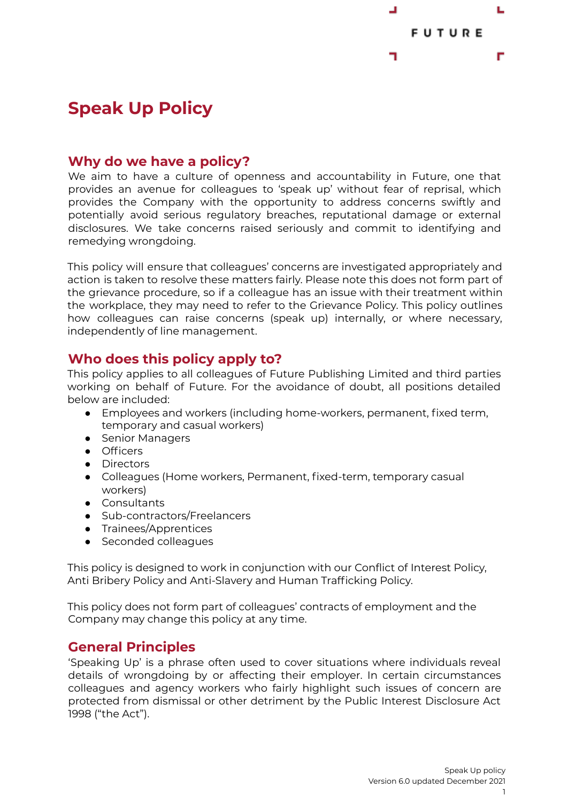

# **Speak Up Policy**

### **Why do we have a policy?**

We aim to have a culture of openness and accountability in Future, one that provides an avenue for colleagues to 'speak up' without fear of reprisal, which provides the Company with the opportunity to address concerns swiftly and potentially avoid serious regulatory breaches, reputational damage or external disclosures. We take concerns raised seriously and commit to identifying and remedying wrongdoing.

This policy will ensure that colleagues' concerns are investigated appropriately and action is taken to resolve these matters fairly. Please note this does not form part of the grievance procedure, so if a colleague has an issue with their treatment within the workplace, they may need to refer to the Grievance Policy. This policy outlines how colleagues can raise concerns (speak up) internally, or where necessary, independently of line management.

### **Who does this policy apply to?**

This policy applies to all colleagues of Future Publishing Limited and third parties working on behalf of Future. For the avoidance of doubt, all positions detailed below are included:

- Employees and workers (including home-workers, permanent, fixed term, temporary and casual workers)
- Senior Managers
- Officers
- Directors
- Colleagues (Home workers, Permanent, fixed-term, temporary casual workers)
- Consultants
- Sub-contractors/Freelancers
- Trainees/Apprentices
- Seconded colleagues

This policy is designed to work in conjunction with our Conflict of Interest Policy, Anti Bribery Policy and Anti-Slavery and Human Trafficking Policy.

This policy does not form part of colleagues' contracts of employment and the Company may change this policy at any time.

### **General Principles**

'Speaking Up' is a phrase often used to cover situations where individuals reveal details of wrongdoing by or affecting their employer. In certain circumstances colleagues and agency workers who fairly highlight such issues of concern are protected from dismissal or other detriment by the Public Interest Disclosure Act 1998 ("the Act").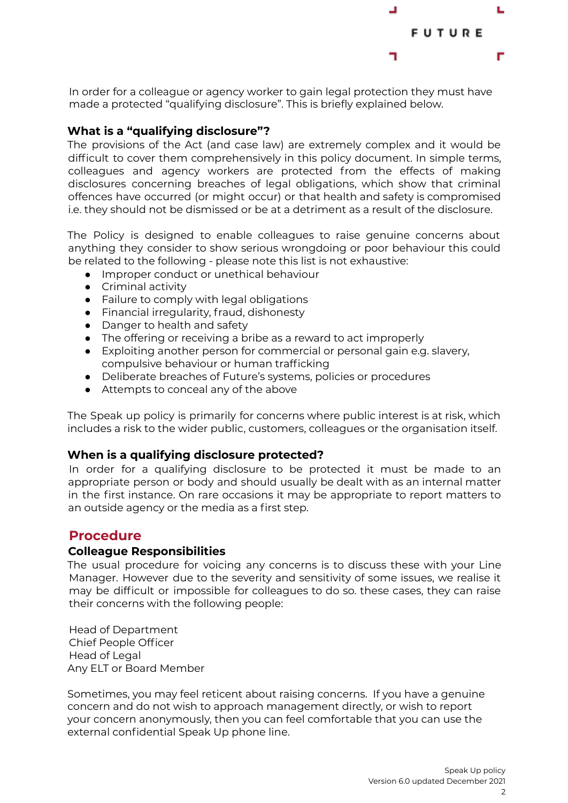

In order for a colleague or agency worker to gain legal protection they must have made a protected "qualifying disclosure". This is briefly explained below.

#### **What is a "qualifying disclosure"?**

The provisions of the Act (and case law) are extremely complex and it would be difficult to cover them comprehensively in this policy document. In simple terms, colleagues and agency workers are protected from the effects of making disclosures concerning breaches of legal obligations, which show that criminal offences have occurred (or might occur) or that health and safety is compromised i.e. they should not be dismissed or be at a detriment as a result of the disclosure.

The Policy is designed to enable colleagues to raise genuine concerns about anything they consider to show serious wrongdoing or poor behaviour this could be related to the following - please note this list is not exhaustive:

- Improper conduct or unethical behaviour
- Criminal activity
- Failure to comply with legal obligations
- Financial irregularity, fraud, dishonesty
- Danger to health and safety
- The offering or receiving a bribe as a reward to act improperly
- Exploiting another person for commercial or personal gain e.g. slavery, compulsive behaviour or human trafficking
- Deliberate breaches of Future's systems, policies or procedures
- Attempts to conceal any of the above

The Speak up policy is primarily for concerns where public interest is at risk, which includes a risk to the wider public, customers, colleagues or the organisation itself.

#### **When is a qualifying disclosure protected?**

In order for a qualifying disclosure to be protected it must be made to an appropriate person or body and should usually be dealt with as an internal matter in the first instance. On rare occasions it may be appropriate to report matters to an outside agency or the media as a first step.

### **Procedure**

#### **Colleague Responsibilities**

The usual procedure for voicing any concerns is to discuss these with your Line Manager. However due to the severity and sensitivity of some issues, we realise it may be difficult or impossible for colleagues to do so. these cases, they can raise their concerns with the following people:

Head of Department Chief People Officer Head of Legal Any ELT or Board Member

Sometimes, you may feel reticent about raising concerns. If you have a genuine concern and do not wish to approach management directly, or wish to report your concern anonymously, then you can feel comfortable that you can use the external confidential Speak Up phone line.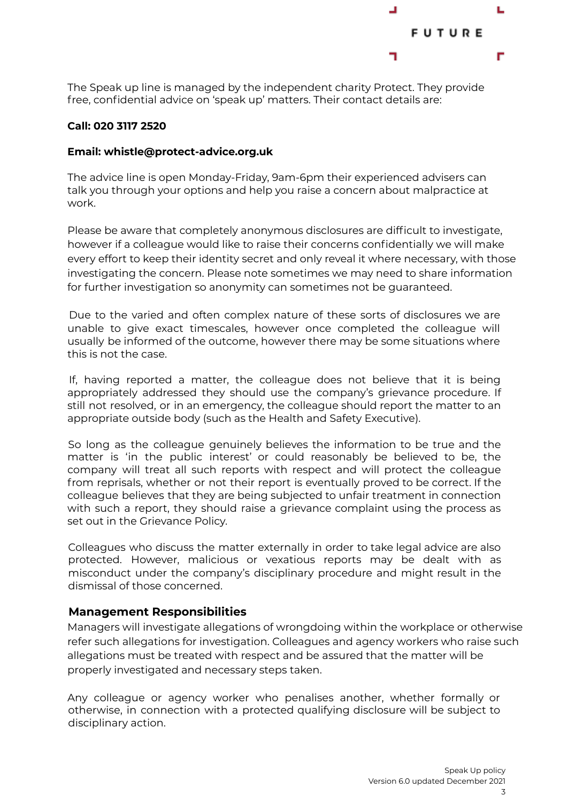

The Speak up line is managed by the independent charity Protect. They provide free, confidential advice on 'speak up' matters. Their contact details are:

#### **Call: 020 3117 2520**

#### **Email: whistle@protect-advice.org.uk**

The advice line is open Monday-Friday, 9am-6pm their experienced advisers can talk you through your options and help you raise a concern about malpractice at work.

Please be aware that completely anonymous disclosures are difficult to investigate, however if a colleague would like to raise their concerns confidentially we will make every effort to keep their identity secret and only reveal it where necessary, with those investigating the concern. Please note sometimes we may need to share information for further investigation so anonymity can sometimes not be guaranteed.

Due to the varied and often complex nature of these sorts of disclosures we are unable to give exact timescales, however once completed the colleague will usually be informed of the outcome, however there may be some situations where this is not the case.

If, having reported a matter, the colleague does not believe that it is being appropriately addressed they should use the company's grievance procedure. If still not resolved, or in an emergency, the colleague should report the matter to an appropriate outside body (such as the Health and Safety Executive).

So long as the colleague genuinely believes the information to be true and the matter is 'in the public interest' or could reasonably be believed to be, the company will treat all such reports with respect and will protect the colleague from reprisals, whether or not their report is eventually proved to be correct. If the colleague believes that they are being subjected to unfair treatment in connection with such a report, they should raise a grievance complaint using the process as set out in the Grievance Policy.

Colleagues who discuss the matter externally in order to take legal advice are also protected. However, malicious or vexatious reports may be dealt with as misconduct under the company's disciplinary procedure and might result in the dismissal of those concerned.

#### **Management Responsibilities**

Managers will investigate allegations of wrongdoing within the workplace or otherwise refer such allegations for investigation. Colleagues and agency workers who raise such allegations must be treated with respect and be assured that the matter will be properly investigated and necessary steps taken.

Any colleague or agency worker who penalises another, whether formally or otherwise, in connection with a protected qualifying disclosure will be subject to disciplinary action.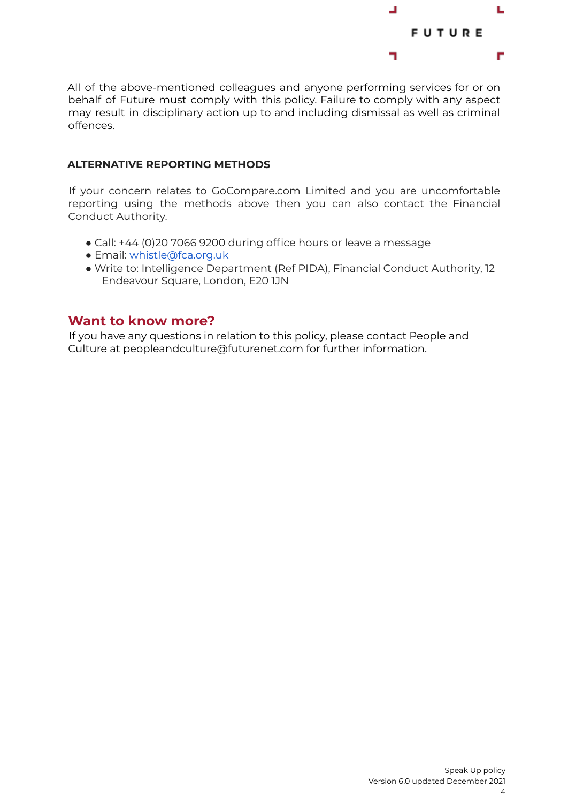

All of the above-mentioned colleagues and anyone performing services for or on behalf of Future must comply with this policy. Failure to comply with any aspect may result in disciplinary action up to and including dismissal as well as criminal offences.

#### **ALTERNATIVE REPORTING METHODS**

If your concern relates to GoCompare.com Limited and you are uncomfortable reporting using the methods above then you can also contact the Financial Conduct Authority.

- Call: +44 (0)20 7066 9200 during office hours or leave a message
- Email: whistle@fca.org.uk
- Write to: Intelligence Department (Ref PIDA), Financial Conduct Authority, 12 Endeavour Square, London, E20 1JN

### **Want to know more?**

If you have any questions in relation to this policy, please contact People and Culture at peopleandculture@futurenet.com for further information.